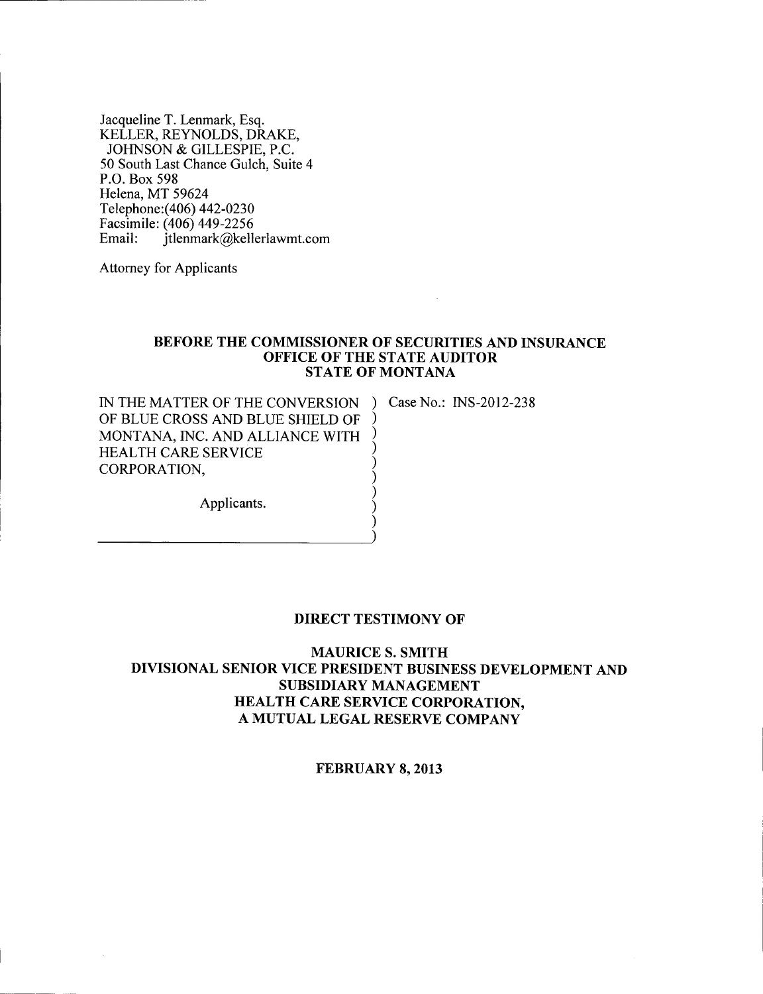Jacqueline T. Lenmark, Esq. KELLER, REYNOLDS, DRAKE, JOHNSON & GILLESPIE, P.C. 50 South Last Chance Gulch, Suite 4 P.O. Box 598 Helena, MT 59624 Telephone: (406) 442-0230 Facsimile: (406) 449-2256<br>Email: itlenmark@kell itlenmark@kellerlawmt.com

Attorney for Applicants

-----------)

### BEFORE THE COMMISSIONER OF SECURITIES AND INSURANCE OFFICE OF THE STATE AUDITOR STATE OF MONTANA

) ) ) ) ) ) ) )

IN THE MATTER OF THE CONVERSION ) Case No.: INS-2012-238 OF BLUE CROSS AND BLUE SHIELD OF MONTANA, INC. AND ALLIANCE WITH HEALTH CARE SERVICE CORPORATION,

Applicants.

### DIRECT TESTIMONY OF

MAURICE S. SMITH DIVISIONAL SENIOR VICE PRESIDENT BUSINESS DEVELOPMENT AND SUBSIDIARY MANAGEMENT HEALTH CARE SERVICE CORPORATION, A MUTUAL LEGAL RESERVE COMPANY

FEBRUARY 8, 2013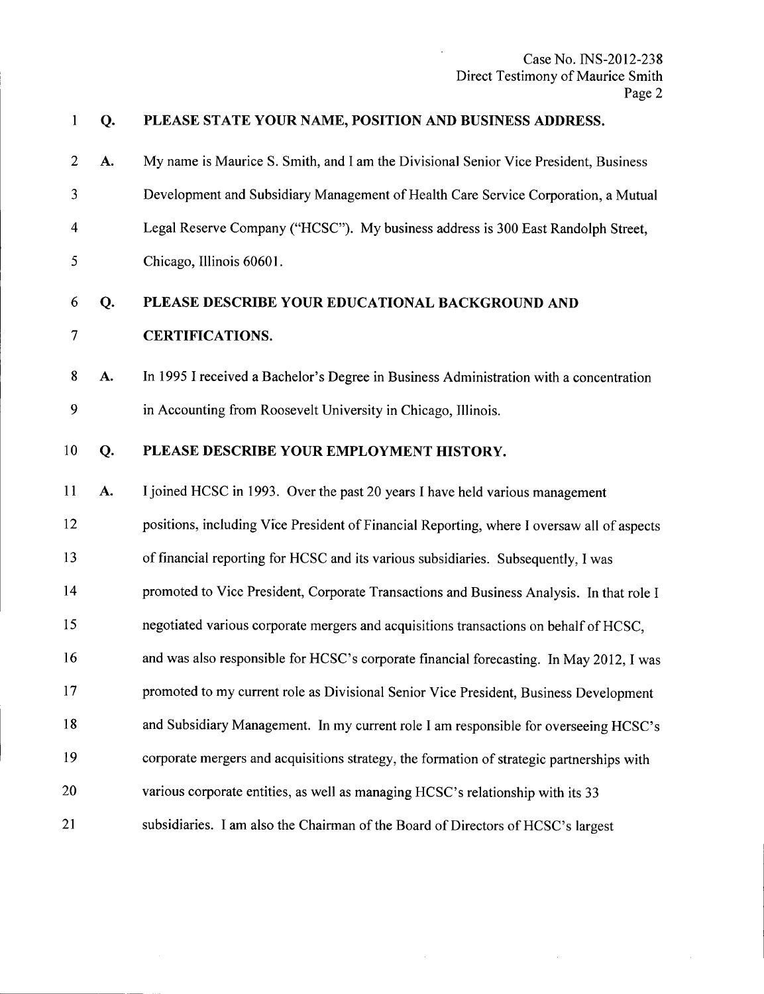### Q. PLEASE STATE YOUR NAME, POSITION AND BUSINESS ADDRESS.

 $\mathbf{1}$ 

2 A. 3 4 5 My name is Maurice S. Smith, and I am the Divisional Senior Vice President, Business Development and Subsidiary Management of Health Care Service Corporation, a Mutual Legal Reserve Company ("HCSC"). My business address is 300 East Randolph Street, Chicago, Illinois 60601.

### 6 Q. PLEASE DESCRIBE YOUR EDUCATIONAL BACKGROUND AND

- 7 CERTIFICATIONS.
- 8 A. 9 In 1995 I received a Bachelor's Degree in Business Administration with a concentration in Accounting from Roosevelt University in Chicago, Illinois.

### 10 Q. PLEASE DESCRIBE YOUR EMPLOYMENT HISTORY.

11 A. 12 13 14 15 16 17 18 19 20 21 Ijoined HCSC in 1993. Over the past 20 years I have held various management positions, including Vice President of Financial Reporting, where I oversaw all of aspects of financial reporting for HCSC and its various subsidiaries. Subsequently, I was promoted to Vice President, Corporate Transactions and Business Analysis. In that role I negotiated various corporate mergers and acquisitions transactions on behalf of HCSC, and was also responsible for HCSC's corporate financial forecasting. In May 2012, I was promoted to my current role as Divisional Senior Vice President, Business Development and Subsidiary Management. In my current role I am responsible for overseeing HCSC's corporate mergers and acquisitions strategy, the formation of strategic partnerships with various corporate entities, as well as managing HCSC's relationship with its 33 subsidiaries. I am also the Chairman of the Board of Directors of HCSC's largest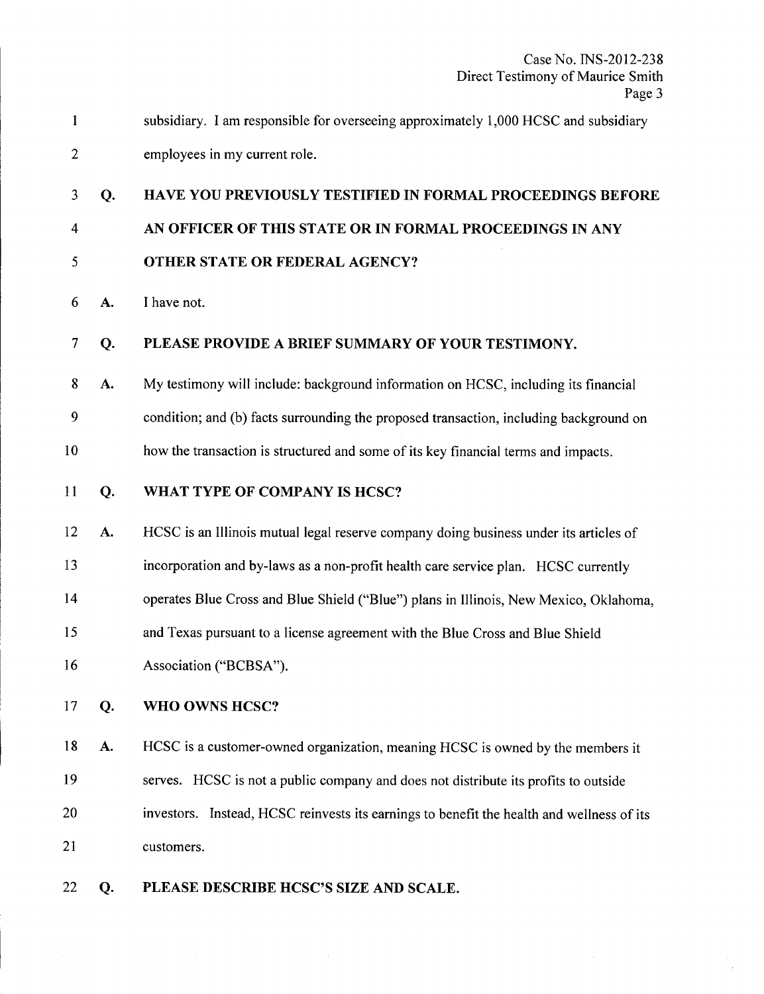| subsidiary. I am responsible for overseeing approximately 1,000 HCSC and subsidiary |
|-------------------------------------------------------------------------------------|
| employees in my current role.                                                       |

### 3 Q. 4 5 HAVE YOU PREVIOUSLY TESTIFIED IN FORMAL PROCEEDINGS BEFORE AN OFFICER OF THIS STATE OR IN FORMAL PROCEEDINGS IN ANY OTHER STATE OR FEDERAL AGENCY?

6 A. I have not.

### 7 Q. PLEASE PROVIDE A BRIEF SUMMARY OF YOUR TESTIMONY.

- 8 A. My testimony will include: background information on HCSC, including its financial
- 9 condition; and (b) facts surrounding the proposed transaction, including background on
- 10 how the transaction is structured and some of its key financial terms and impacts.
- 11 Q. WHAT TYPE OF COMPANY IS HCSC?
- 12 A. HCSC is an Illinois mutual legal reserve company doing business under its articles of
- 13 incorporation and by-laws as a non-profit health care service plan. HCSC currently
- 14 operates Blue Cross and Blue Shield ("Blue") plans in Illinois, New Mexico, Oklahoma,
- 15 and Texas pursuant to a license agreement with the Blue Cross and Blue Shield
- 16 Association ("BCBSA").
- 17 Q. WHO OWNS HCSC?

18 A. 19 20 21 HCSC is a customer-owned organization, meaning HCSC is owned by the members it serves. HCSC is not a public company and does not distribute its profits to outside investors. Instead, HCSC reinvests its earnings to benefit the health and wellness of its customers.

22 Q. PLEASE DESCRIBE HCSC'S SIZE AND SCALE.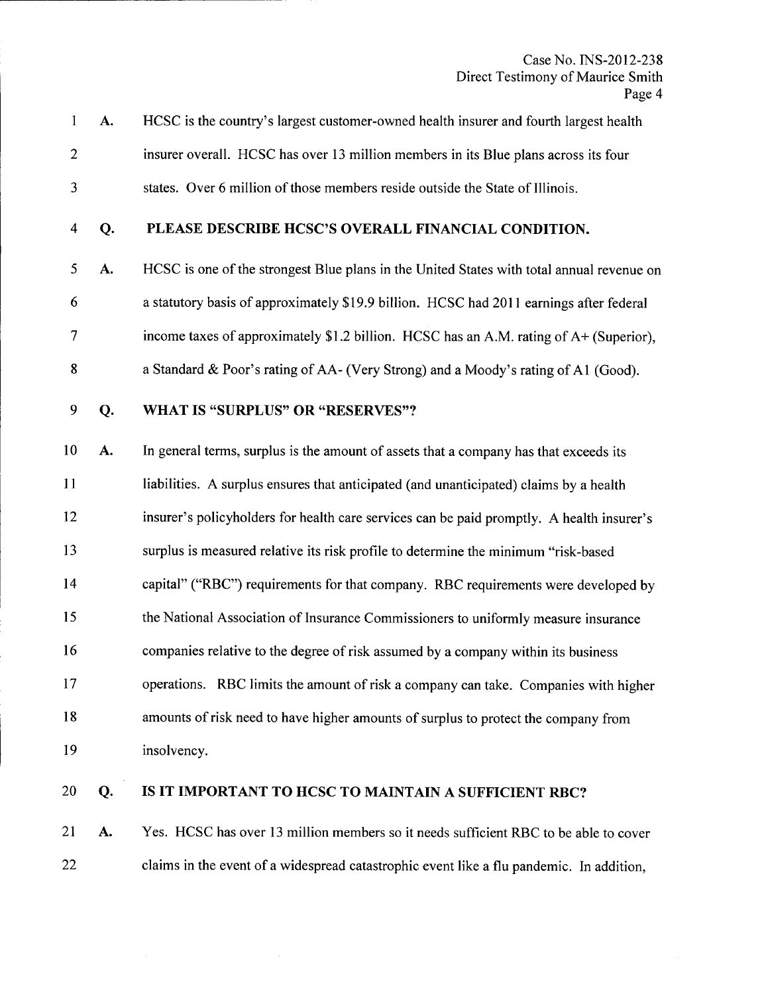- 1 A. 2 3 HCSC is the country's largest customer-owned health insurer and fourth largest health insurer overall. HCSC has over 13 million members in its Blue plans across its four states. Over 6 million of those members reside outside the State of Illinois.
- 4 Q.

# PLEASE DESCRIBE HCSC'S OVERALL FINANCIAL CONDITION.

- 5 A. 6 7 8 HCSC is one of the strongest Blue plans in the United States with total annual revenue on a statutory basis of approximately \$19.9 billion. HCSC had 2011 earnings after federal income taxes of approximately \$1.2 billion. HCSC has an A.M. rating of A+ (Superior), a Standard & Poor's rating of AA- (Very Strong) and a Moody's rating of Al (Good).
- 

### 9 Q. WHAT IS "SURPLUS" OR "RESERVES"?

10 A. 11 In general terms, surplus is the amount of assets that a company has that exceeds its liabilities. A surplus ensures that anticipated (and unanticipated) claims by a health

12 insurer's policyholders for health care services can be paid promptly. A health insurer's

13 surplus is measured relative its risk profile to determine the minimum "risk-based

14 capital" ("RBC") requirements for that company. RBC requirements were developed by

15 the National Association of Insurance Commissioners to uniformly measure insurance

- 16 companies relative to the degree of risk assumed by a company within its business
- 17 18 19 operations. RBC limits the amount of risk a company can take. Companies with higher amounts of risk need to have higher amounts of surplus to protect the company from insolvency.
- 

# 20 Q.

# IS IT IMPORTANT TO HCSC TO MAINTAIN A SUFFICIENT RBC?

21 A. 22 Yes. HCSC has over 13 million members so it needs sufficient RBC to be able to cover claims in the event of a widespread catastrophic event like a flu pandemic. In addition,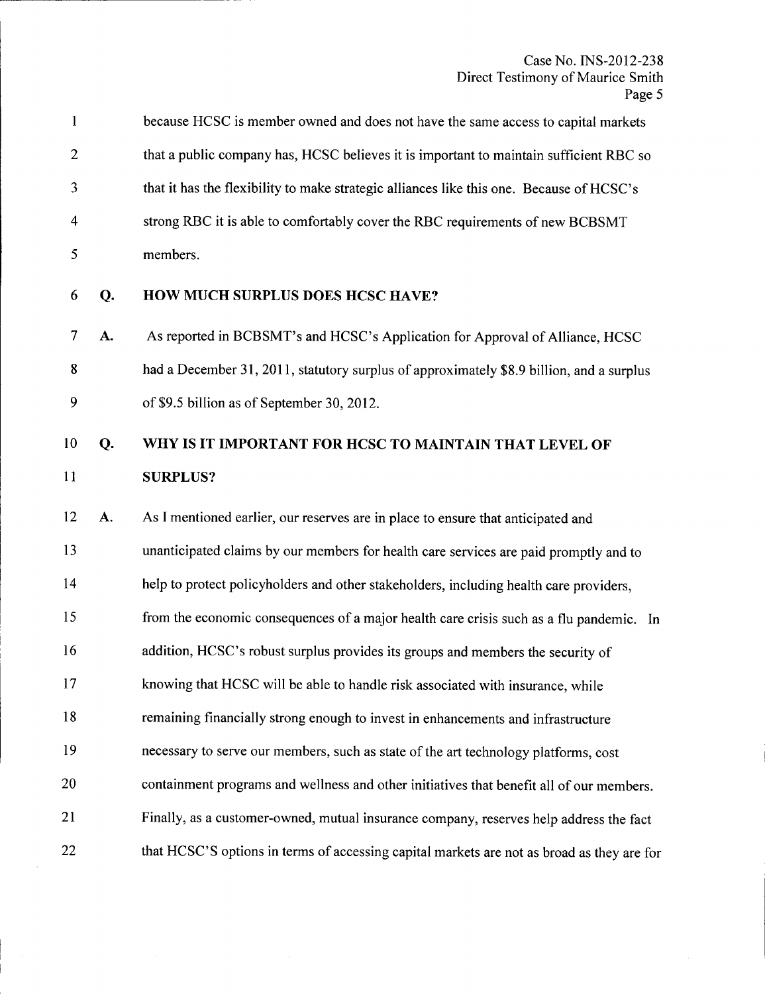|                | because HCSC is member owned and does not have the same access to capital markets        |
|----------------|------------------------------------------------------------------------------------------|
| 2              | that a public company has, HCSC believes it is important to maintain sufficient RBC so   |
| 3              | that it has the flexibility to make strategic alliances like this one. Because of HCSC's |
| $\overline{4}$ | strong RBC it is able to comfortably cover the RBC requirements of new BCBSMT            |
|                | members.                                                                                 |

6 Q.

## HOW MUCH SURPLUS DOES HCSC HAVE?

7 A. 8 9 As reported in BCBSMT's and HCSC's Application for Approval of Alliance, HCSC had a December 31, 2011, statutory surplus of approximately \$8.9 billion, and a surplus of \$9.5 billion as of September 30,2012.

### 10 Q. 11 WHY IS IT IMPORTANT FOR HCSC TO MAINTAIN THAT LEVEL OF SURPLUS?

12 A. 13 14 15 16 17 18 19 20 21 22 As I mentioned earlier, our reserves are in place to ensure that anticipated and unanticipated claims by our members for health care services are paid promptly and to help to protect policyholders and other stakeholders, including health care providers, from the economic consequences of a major health care crisis such as a flu pandemic. In addition, HCSC's robust surplus provides its groups and members the security of knowing that HCSC will be able to handle risk associated with insurance, while remaining financially strong enough to invest in enhancements and infrastructure necessary to serve our members, such as state of the art technology platforms, cost containment programs and wellness and other initiatives that benefit all of our members. Finally, as a customer-owned, mutual insurance company, reserves help address the fact that HCSC'S options in terms of accessing capital markets are not as broad as they are for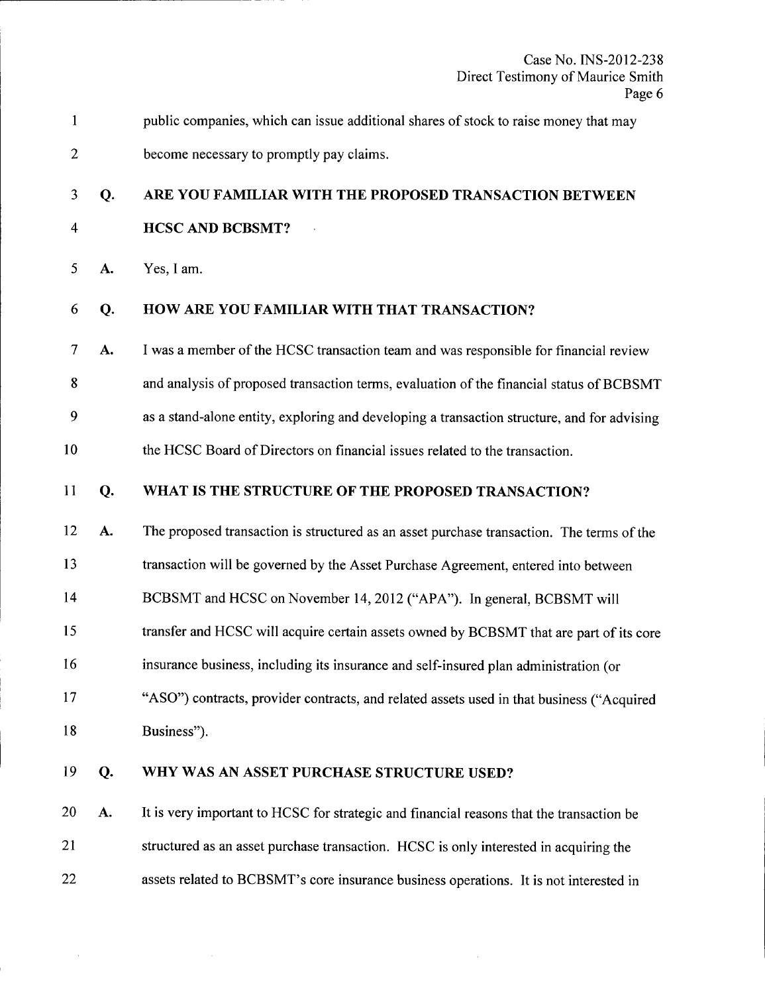Case No. INS-2012-238 Direct Testimony of Maurice Smith  $\overline{6}$ 

|                |    | Page 6                                                                                      |
|----------------|----|---------------------------------------------------------------------------------------------|
| $\mathbf{1}$   |    | public companies, which can issue additional shares of stock to raise money that may        |
| $\overline{c}$ |    | become necessary to promptly pay claims.                                                    |
| 3              | Q. | ARE YOU FAMILIAR WITH THE PROPOSED TRANSACTION BETWEEN                                      |
| 4              |    | <b>HCSC AND BCBSMT?</b>                                                                     |
| 5              | A. | Yes, I am.                                                                                  |
| 6              | Q. | HOW ARE YOU FAMILIAR WITH THAT TRANSACTION?                                                 |
| 7              | A. | I was a member of the HCSC transaction team and was responsible for financial review        |
| 8              |    | and analysis of proposed transaction terms, evaluation of the financial status of BCBSMT    |
| 9              |    | as a stand-alone entity, exploring and developing a transaction structure, and for advising |
| 10             |    | the HCSC Board of Directors on financial issues related to the transaction.                 |
| 11             | Q. | WHAT IS THE STRUCTURE OF THE PROPOSED TRANSACTION?                                          |
| 12             | A. | The proposed transaction is structured as an asset purchase transaction. The terms of the   |
| 13             |    | transaction will be governed by the Asset Purchase Agreement, entered into between          |
| 14             |    | BCBSMT and HCSC on November 14, 2012 ("APA"). In general, BCBSMT will                       |
| 15             |    | transfer and HCSC will acquire certain assets owned by BCBSMT that are part of its core     |
| 16             |    | insurance business, including its insurance and self-insured plan administration (or        |
| 17             |    | "ASO") contracts, provider contracts, and related assets used in that business ("Acquired   |
| 18             |    | Business").                                                                                 |
| 19             | Q. | WHY WAS AN ASSET PURCHASE STRUCTURE USED?                                                   |
| 20             | A. | It is very important to HCSC for strategic and financial reasons that the transaction be    |
| 21             |    | structured as an asset purchase transaction. HCSC is only interested in acquiring the       |

22 assets related to BCBSMT's core insurance business operations. It is not interested in

 $\mathcal{A}^{\mathcal{A}}$ 

 $\mathcal{L}^{\mathcal{L}}$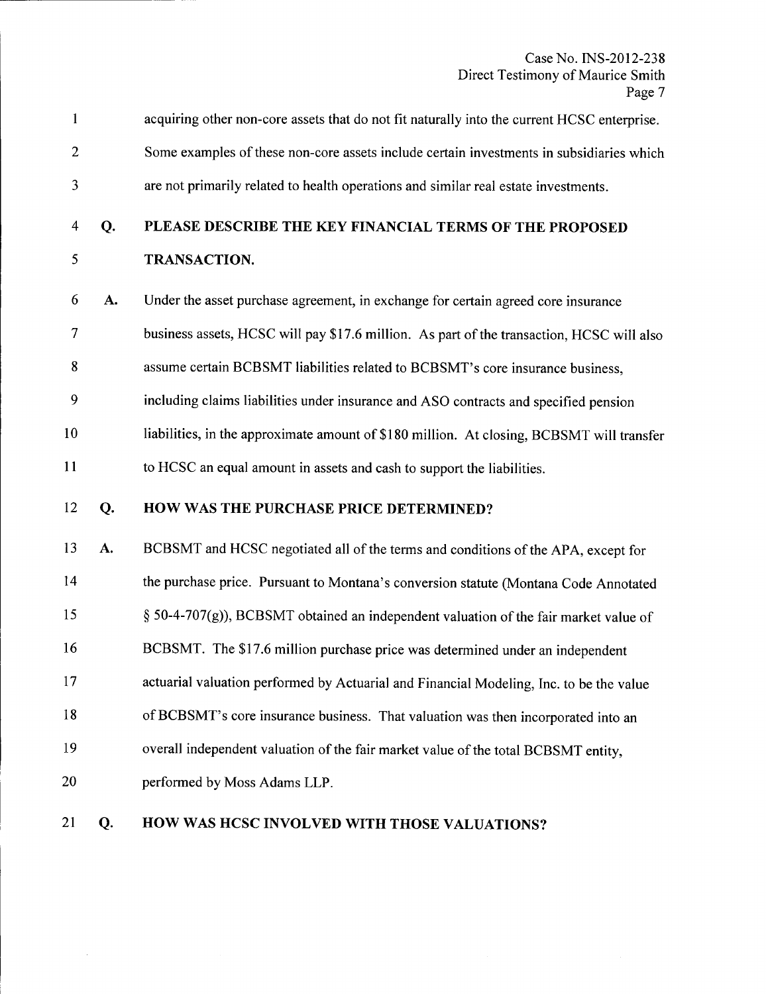| $\mathbf{1}$             |    | acquiring other non-core assets that do not fit naturally into the current HCSC enterprise. |
|--------------------------|----|---------------------------------------------------------------------------------------------|
| $\mathbf{2}$             |    | Some examples of these non-core assets include certain investments in subsidiaries which    |
| 3                        |    | are not primarily related to health operations and similar real estate investments.         |
| 4                        | Q. | PLEASE DESCRIBE THE KEY FINANCIAL TERMS OF THE PROPOSED                                     |
| 5                        |    | TRANSACTION.                                                                                |
| 6                        | A. | Under the asset purchase agreement, in exchange for certain agreed core insurance           |
| $\overline{\mathcal{I}}$ |    | business assets, HCSC will pay \$17.6 million. As part of the transaction, HCSC will also   |
| 8                        |    | assume certain BCBSMT liabilities related to BCBSMT's core insurance business,              |
| 9                        |    | including claims liabilities under insurance and ASO contracts and specified pension        |
| 10                       |    | liabilities, in the approximate amount of \$180 million. At closing, BCBSMT will transfer   |
| 11                       |    | to HCSC an equal amount in assets and cash to support the liabilities.                      |
| 12                       | Q. | HOW WAS THE PURCHASE PRICE DETERMINED?                                                      |
| 13                       | A. | BCBSMT and HCSC negotiated all of the terms and conditions of the APA, except for           |
| 14                       |    | the purchase price. Pursuant to Montana's conversion statute (Montana Code Annotated        |
| 15                       |    | § 50-4-707(g)), BCBSMT obtained an independent valuation of the fair market value of        |
| 16                       |    | BCBSMT. The \$17.6 million purchase price was determined under an independent               |
| 17                       |    | actuarial valuation performed by Actuarial and Financial Modeling, Inc. to be the value     |
| 18                       |    | of BCBSMT's core insurance business. That valuation was then incorporated into an           |
| 19                       |    | overall independent valuation of the fair market value of the total BCBSMT entity,          |
| 20                       |    | performed by Moss Adams LLP.                                                                |
| 21                       | Q. | HOW WAS HCSC INVOLVED WITH THOSE VALUATIONS?                                                |

 $\bar{\gamma}$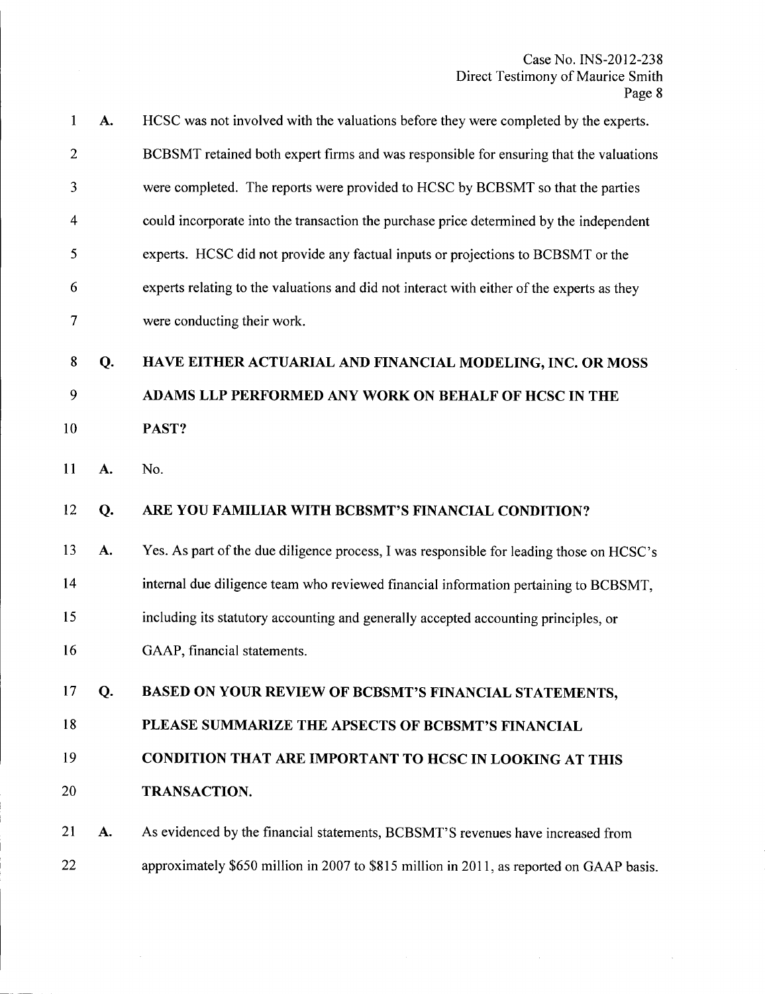$\sim$ 

| 1              | A. | HCSC was not involved with the valuations before they were completed by the experts.       |
|----------------|----|--------------------------------------------------------------------------------------------|
| $\overline{2}$ |    | BCBSMT retained both expert firms and was responsible for ensuring that the valuations     |
| 3              |    | were completed. The reports were provided to HCSC by BCBSMT so that the parties            |
| 4              |    | could incorporate into the transaction the purchase price determined by the independent    |
| 5              |    | experts. HCSC did not provide any factual inputs or projections to BCBSMT or the           |
| 6              |    | experts relating to the valuations and did not interact with either of the experts as they |
| 7              |    | were conducting their work.                                                                |
| 8              | Q. | HAVE EITHER ACTUARIAL AND FINANCIAL MODELING, INC. OR MOSS                                 |
| 9              |    | ADAMS LLP PERFORMED ANY WORK ON BEHALF OF HCSC IN THE                                      |
| 10             |    | PAST?                                                                                      |
| 11             | A. | No.                                                                                        |
|                |    |                                                                                            |
| 12             | Q. | ARE YOU FAMILIAR WITH BCBSMT'S FINANCIAL CONDITION?                                        |
| 13             | A. | Yes. As part of the due diligence process, I was responsible for leading those on HCSC's   |
| 14             |    | internal due diligence team who reviewed financial information pertaining to BCBSMT,       |
| 15             |    | including its statutory accounting and generally accepted accounting principles, or        |
| 16             |    | GAAP, financial statements.                                                                |
| 17             | Q. | BASED ON YOUR REVIEW OF BCBSMT'S FINANCIAL STATEMENTS,                                     |
| 18             |    | PLEASE SUMMARIZE THE APSECTS OF BCBSMT'S FINANCIAL                                         |
| 19             |    | CONDITION THAT ARE IMPORTANT TO HCSC IN LOOKING AT THIS                                    |
| 20             |    | TRANSACTION.                                                                               |
| 21             | A. | As evidenced by the financial statements, BCBSMT'S revenues have increased from            |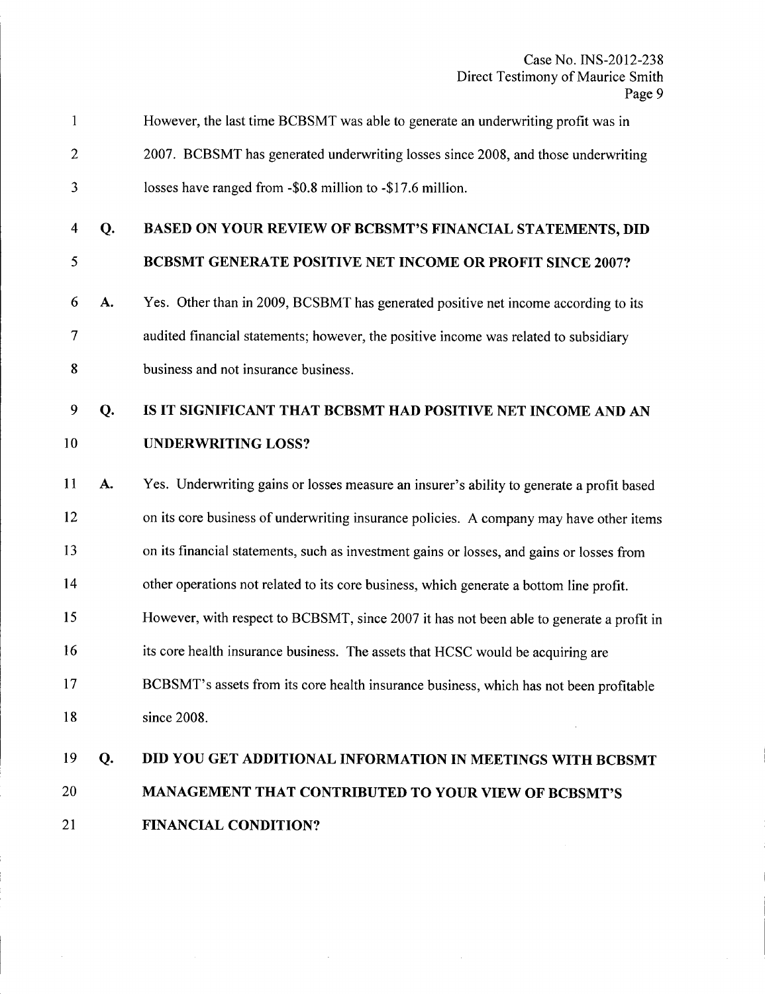| 1              |    | However, the last time BCBSMT was able to generate an underwriting profit was in          |
|----------------|----|-------------------------------------------------------------------------------------------|
| $\overline{c}$ |    | 2007. BCBSMT has generated underwriting losses since 2008, and those underwriting         |
| 3              |    | losses have ranged from -\$0.8 million to -\$17.6 million.                                |
| 4              | Q. | BASED ON YOUR REVIEW OF BCBSMT'S FINANCIAL STATEMENTS, DID                                |
| 5              |    | BCBSMT GENERATE POSITIVE NET INCOME OR PROFIT SINCE 2007?                                 |
| 6              | A. | Yes. Other than in 2009, BCSBMT has generated positive net income according to its        |
| 7              |    | audited financial statements; however, the positive income was related to subsidiary      |
| 8              |    | business and not insurance business.                                                      |
| 9              | Q. | IS IT SIGNIFICANT THAT BCBSMT HAD POSITIVE NET INCOME AND AN                              |
| 10             |    | <b>UNDERWRITING LOSS?</b>                                                                 |
| 11             | A. | Yes. Underwriting gains or losses measure an insurer's ability to generate a profit based |
| 12             |    | on its core business of underwriting insurance policies. A company may have other items   |
| 13             |    | on its financial statements, such as investment gains or losses, and gains or losses from |
| 14             |    | other operations not related to its core business, which generate a bottom line profit.   |
| 15             |    | However, with respect to BCBSMT, since 2007 it has not been able to generate a profit in  |
| 16             |    | its core health insurance business. The assets that HCSC would be acquiring are           |
| 17             |    | BCBSMT's assets from its core health insurance business, which has not been profitable    |
| 18             |    | since 2008.                                                                               |
| 19             | Q. | DID YOU GET ADDITIONAL INFORMATION IN MEETINGS WITH BCBSMT                                |
| 20             |    | <b>MANAGEMENT THAT CONTRIBUTED TO YOUR VIEW OF BCBSMT'S</b>                               |
| 21             |    | <b>FINANCIAL CONDITION?</b>                                                               |

 $\sim$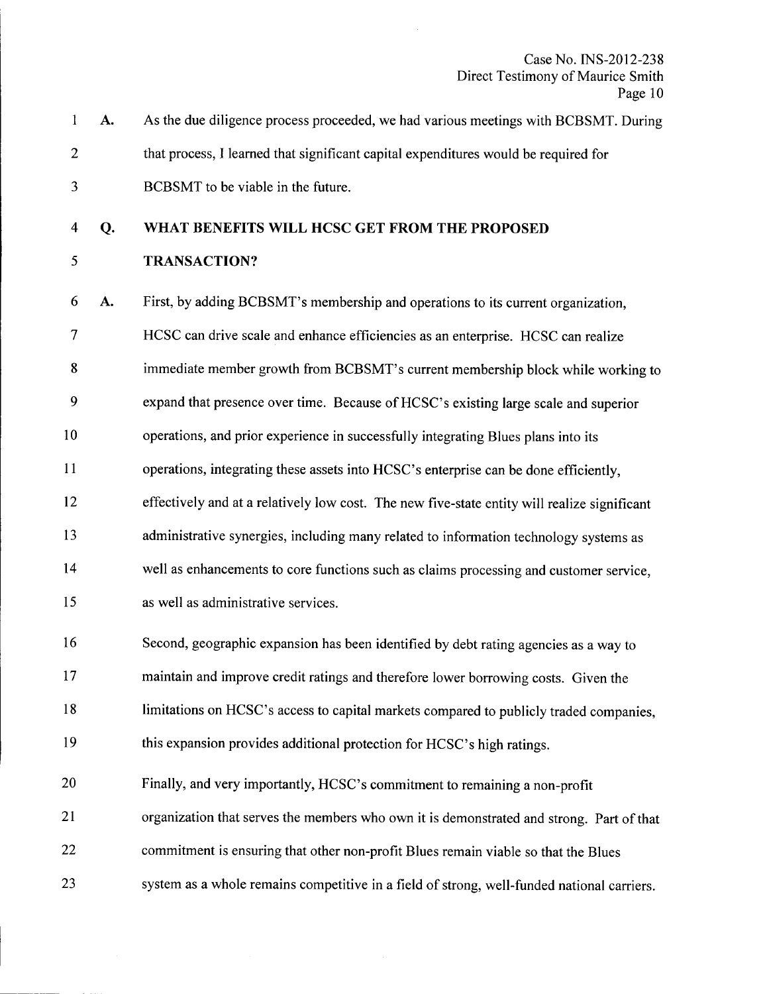|   | A. | As the due diligence process proceeded, we had various meetings with BCBSMT. During |
|---|----|-------------------------------------------------------------------------------------|
| 2 |    | that process, I learned that significant capital expenditures would be required for |
|   |    | BCBSMT to be viable in the future.                                                  |

### 4 **Q. WHAT BENEFITS WILL HCSC GET FROM THE PROPOSED**

#### 5 **TRANSACTION?**

6 A. First, by adding BCBSMT's membership and operations to its current organization,

7 HCSC can drive scale and enhance efficiencies as an enterprise. HCSC can realize

8 immediate member growth from BCBSMT's current membership block while working to

9 expand that presence over time. Because of HCSC's existing large scale and superior

10 operations, and prior experience in successfully integrating Blues plans into its

11 operations, integrating these assets into HCSC's enterprise can be done efficiently,

12 effectively and at a relatively low cost. The new five-state entity will realize significant

13 administrative synergies, including many related to information technology systems as

14 well as enhancements to core functions such as claims processing and customer service,

15 as well as administrative services.

16 Second, geographic expansion has been identified by debt rating agencies as a way to

17 maintain and improve credit ratings and therefore lower borrowing costs. Given the

18 limitations on HCSC's access to capital markets compared to publicly traded companies,

19 this expansion provides additional protection for HCSC's high ratings.

20 Finally, and very importantly, HCSC's commitment to remaining a non-profit

21 organization that serves the members who own it is demonstrated and strong. Part of that

22 commitment is ensuring that other non-profit Blues remain viable so that the Blues

23 system as a whole remains competitive in a field of strong, well-funded national carriers.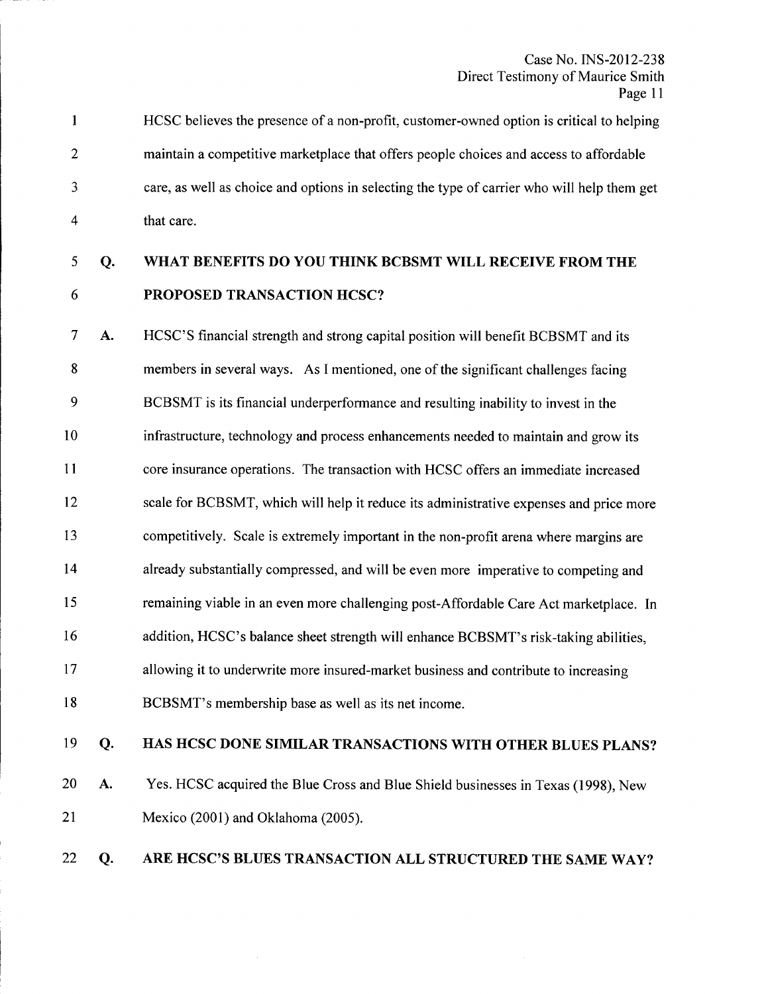1 2 3 4 HCSC believes the presence of a non-profit, customer-owned option is critical to helping maintain a competitive marketplace that offers people choices and access to affordable care, as well as choice and options in selecting the type of carrier who will help them get that care.

6

# 5 Q. WHAT BENEFITS DO YOU THINK BCBSMT WILL RECEIVE FROM THE PROPOSED TRANSACTION HCSC?

7 A. 8 9 10 11 12 13 14 15 16 17 18 HCSC'S financial strength and strong capital position will benefit BCBSMT and its members in several ways. As I mentioned, one of the significant challenges facing BCBSMT is its financial underperformance and resulting inability to invest in the infrastructure, technology and process enhancements needed to maintain and grow its core insurance operations. The transaction with HCSC offers an immediate increased scale for BCBSMT, which will help it reduce its administrative expenses and price more competitively. Scale is extremely important in the non-profit arena where margins are already substantially compressed, and will be even more imperative to competing and remaining viable in an even more challenging post-Affordable Care Act marketplace. In addition, HCSC's balance sheet strength will enhance BCBSMT's risk-taking abilities, allowing it to underwrite more insured-market business and contribute to increasing BCBSMT's membership base as well as its net income.

# 19 Q.

# HAS HCSC DONE SIMILAR TRANSACTIONS WITH OTHER BLUES PLANS?

20 A. 21 Yes. HCSC acquired the Blue Cross and Blue Shield businesses in Texas (1998), New Mexico (2001) and Oklahoma (2005).

### 22 Q. ARE HCSC'S BLUES TRANSACTION ALL STRUCTURED THE SAME WAY?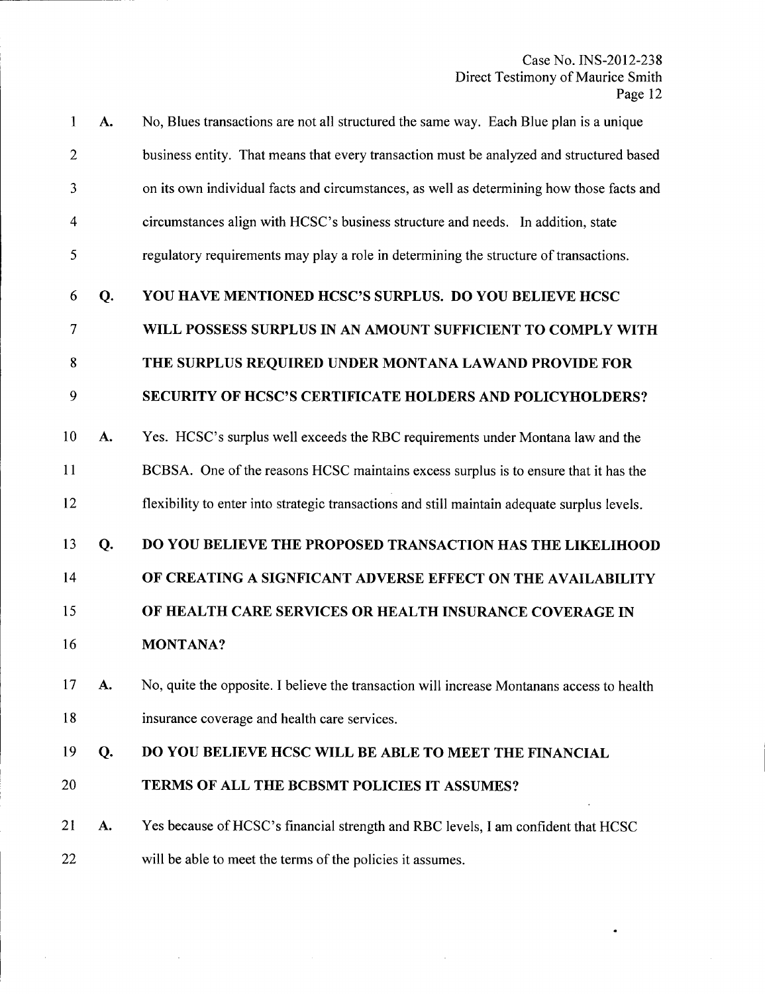$\bullet$ 

 $\bar{\bar{z}}$ 

 $\sim 10^6$ 

| 1              | A. | No, Blues transactions are not all structured the same way. Each Blue plan is a unique       |
|----------------|----|----------------------------------------------------------------------------------------------|
| $\overline{2}$ |    | business entity. That means that every transaction must be analyzed and structured based     |
| 3              |    | on its own individual facts and circumstances, as well as determining how those facts and    |
| $\overline{4}$ |    | circumstances align with HCSC's business structure and needs. In addition, state             |
| 5              |    | regulatory requirements may play a role in determining the structure of transactions.        |
| 6              | Q. | YOU HAVE MENTIONED HCSC'S SURPLUS. DO YOU BELIEVE HCSC                                       |
| 7              |    | WILL POSSESS SURPLUS IN AN AMOUNT SUFFICIENT TO COMPLY WITH                                  |
| 8              |    | THE SURPLUS REQUIRED UNDER MONTANA LAWAND PROVIDE FOR                                        |
| 9              |    | SECURITY OF HCSC'S CERTIFICATE HOLDERS AND POLICYHOLDERS?                                    |
| 10             | A. | Yes. HCSC's surplus well exceeds the RBC requirements under Montana law and the              |
| 11             |    | BCBSA. One of the reasons HCSC maintains excess surplus is to ensure that it has the         |
| 12             |    | flexibility to enter into strategic transactions and still maintain adequate surplus levels. |
| 13             | Q. | DO YOU BELIEVE THE PROPOSED TRANSACTION HAS THE LIKELIHOOD                                   |
| 14             |    | OF CREATING A SIGNFICANT ADVERSE EFFECT ON THE AVAILABILITY                                  |
| 15             |    | OF HEALTH CARE SERVICES OR HEALTH INSURANCE COVERAGE IN                                      |
| 16             |    | <b>MONTANA?</b>                                                                              |
| 17             | A. | No, quite the opposite. I believe the transaction will increase Montanans access to health   |
| 18             |    | insurance coverage and health care services.                                                 |
| 19             | Q. | DO YOU BELIEVE HCSC WILL BE ABLE TO MEET THE FINANCIAL                                       |
| 20             |    | TERMS OF ALL THE BCBSMT POLICIES IT ASSUMES?                                                 |
| 21             | A. | Yes because of HCSC's financial strength and RBC levels, I am confident that HCSC            |
| 22             |    | will be able to meet the terms of the policies it assumes.                                   |

 $\mathcal{L}$ 

 $\sim$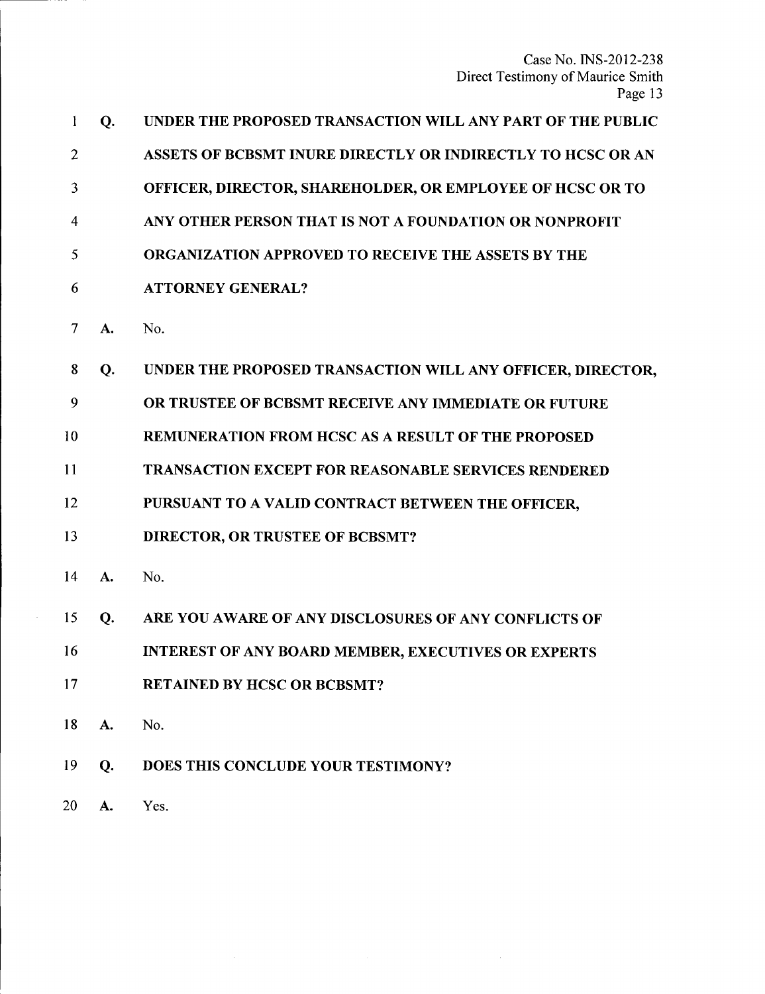| 1              | Q. | UNDER THE PROPOSED TRANSACTION WILL ANY PART OF THE PUBLIC  |
|----------------|----|-------------------------------------------------------------|
| $\overline{2}$ |    | ASSETS OF BCBSMT INURE DIRECTLY OR INDIRECTLY TO HCSC OR AN |
| 3              |    | OFFICER, DIRECTOR, SHAREHOLDER, OR EMPLOYEE OF HCSC OR TO   |
| 4              |    | ANY OTHER PERSON THAT IS NOT A FOUNDATION OR NONPROFIT      |
| 5              |    | <b>ORGANIZATION APPROVED TO RECEIVE THE ASSETS BY THE</b>   |
| 6              |    | <b>ATTORNEY GENERAL?</b>                                    |
| 7              | A. | No.                                                         |
| 8              | Q. | UNDER THE PROPOSED TRANSACTION WILL ANY OFFICER, DIRECTOR,  |
| 9              |    | OR TRUSTEE OF BCBSMT RECEIVE ANY IMMEDIATE OR FUTURE        |
| 10             |    | REMUNERATION FROM HCSC AS A RESULT OF THE PROPOSED          |
| 11             |    | <b>TRANSACTION EXCEPT FOR REASONABLE SERVICES RENDERED</b>  |
| 12             |    | PURSUANT TO A VALID CONTRACT BETWEEN THE OFFICER,           |
| 13             |    | <b>DIRECTOR, OR TRUSTEE OF BCBSMT?</b>                      |
| 14             | A. | No.                                                         |
| 15             | Q. | ARE YOU AWARE OF ANY DISCLOSURES OF ANY CONFLICTS OF        |
| 16             |    | INTEREST OF ANY BOARD MEMBER, EXECUTIVES OR EXPERTS         |
| 17             |    | <b>RETAINED BY HCSC OR BCBSMT?</b>                          |
| 18             | A. | No.                                                         |
| 19             | Q. | DOES THIS CONCLUDE YOUR TESTIMONY?                          |
| 20             | A. | Yes.                                                        |

 $\mathcal{L}^{\text{max}}_{\text{max}}$ 

 $\mathcal{L}_{\text{max}}$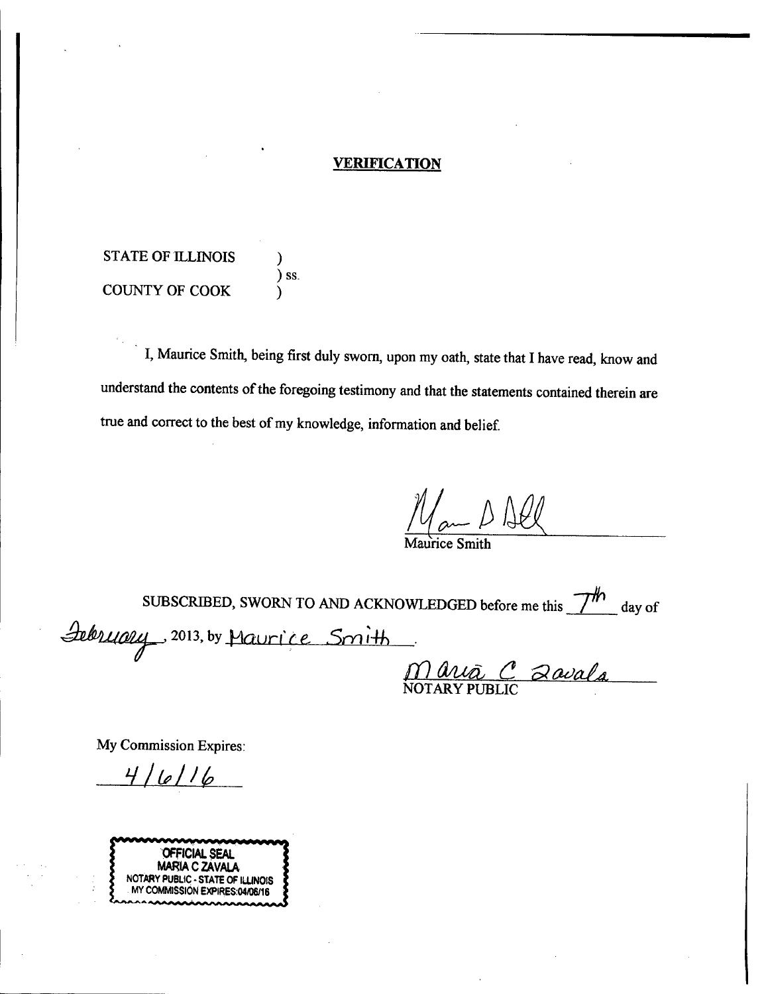# **VERIFICATION**

STATE OF ILLINOIS ) ) ss. COUNTY OF COOK )

I, Maurice Smith, being first duly sworn, upon my oath, state that I have read, know and understand the contents of the foregoing testimony and that the statements contained therein are true and correct to the best of my knowledge, information and belief.

 $M_{am}$  B All

Maurice Smith

SUBSCRIBED, SWORN TO AND ACKNOWLEDGED before me this  $\frac{7}{\pi}$  day of *~.LIM~J .* 2013, by -HOIJrt' *t e.* .501 ,fh *- ---r* ill *4IueL* <sup>C</sup> *0lCI<JaLa,* <u>Maua C</u> 2avala

My Commission Expires:

 $4/6/16$